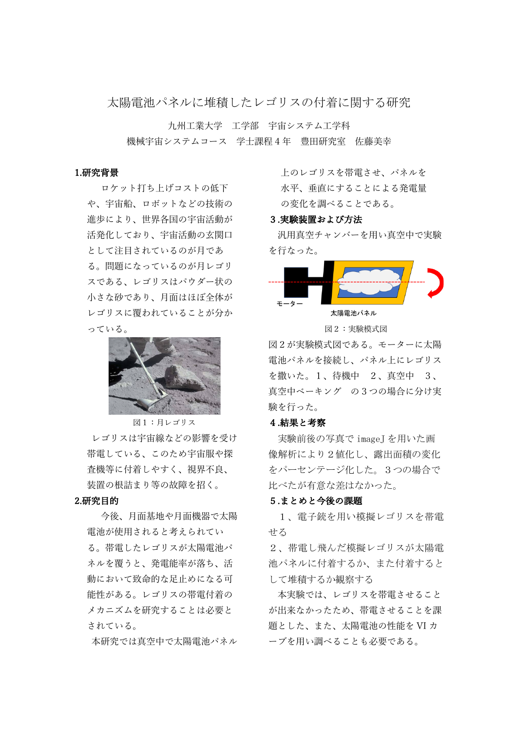太陽電池パネルに堆積したレゴリスの付着に関する研究

九州工業大学 工学部 宇宙システム工学科 機械宇宙システムコース 学十課程 4 年 豊田研究室 佐藤美幸

#### 1.研究背景

ロケット打ち上げコストの低下 や、宇宙船、ロボットなどの技術の 進歩により、世界各国の宇宙活動が 活発化しており、宇宙活動の玄関口 として注⽬されているのが⽉であ る。問題になっているのが月レゴリ スである、レゴリスはパウダー状の 小さな砂であり、月面はほぼ全体が レゴリスに覆われていることが分か っている。



図1:月レゴリス

レゴリスは宇宙線などの影響を受け 帯電している、このため宇宙服や探 査機等に付着しやすく、視界不良、 装置の根詰まり等の故障を招く。

### 2.研究⽬的

今後、月面基地や月面機器で太陽 電池が使用されると考えられてい る。帯電したレゴリスが太陽電池パ ネルを覆うと、発電能率が落ち、活 動において致命的な足止めになる可 能性がある。レゴリスの帯電付着の メカニズムを研究することは必要と されている。

本研究では真空中で太陽電池パネル

上のレゴリスを帯電させ、パネルを 水平、垂直にすることによる発電量 の変化を調べることである。

#### 3.実験装置および方法

汎用真空チャンバーを用い真空中で実験 を⾏なった。



図2:実験模式図

図2が実験模式図である。モーターに太陽 電池パネルを接続し、パネル上にレゴリス を撒いた。1、待機中 2、真空中 3、 真空中ベーキング の3つの場合に分け実 験を行った。

#### 4.結果と考察

 実験前後の写真で imageJ を用いた画 像解析により2値化し、露出面積の変化 をパーセンテージ化した。3つの場合で 比べたが有意な差はなかった。

#### 5.まとめと今後の課題

1、電子銃を用い模擬レゴリスを帯電 せる

2、帯電し飛んだ模擬レゴリスが太陽電 池パネルに付着するか、また付着すると して堆積するか観察する

本実験では、レゴリスを帯電させること が出来なかったため、帯電させることを課 題とした、また、太陽電池の性能を VI カ ーブを用い調べることも必要である。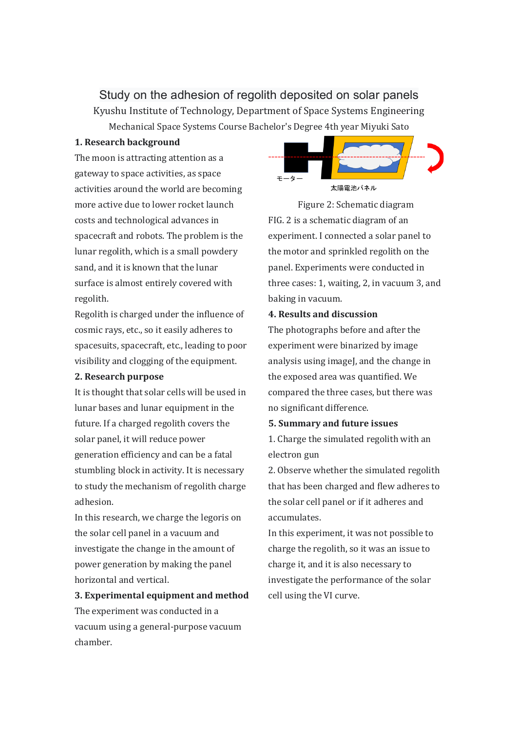Study on the adhesion of regolith deposited on solar panels Kyushu Institute of Technology, Department of Space Systems Engineering Mechanical Space Systems Course Bachelor's Degree 4th year Miyuki Sato

#### **1. Research background**

The moon is attracting attention as a gateway to space activities, as space activities around the world are becoming more active due to lower rocket launch costs and technological advances in spacecraft and robots. The problem is the lunar regolith, which is a small powdery sand, and it is known that the lunar surface is almost entirely covered with regolith.

Regolith is charged under the influence of cosmic rays, etc., so it easily adheres to spacesuits, spacecraft, etc., leading to poor visibility and clogging of the equipment.

#### **2. Research purpose**

It is thought that solar cells will be used in lunar bases and lunar equipment in the future. If a charged regolith covers the solar panel, it will reduce power generation efficiency and can be a fatal stumbling block in activity. It is necessary to study the mechanism of regolith charge adhesion.

In this research, we charge the legoris on the solar cell panel in a vacuum and investigate the change in the amount of power generation by making the panel horizontal and vertical.

# **3. Experimental equipment and method** The experiment was conducted in a vacuum using a general-purpose vacuum chamber.



Figure 2: Schematic diagram FIG. 2 is a schematic diagram of an experiment. I connected a solar panel to the motor and sprinkled regolith on the panel. Experiments were conducted in three cases: 1, waiting, 2, in vacuum 3, and baking in vacuum.

## **4. Results and discussion**

The photographs before and after the experiment were binarized by image analysis using imageJ, and the change in the exposed area was quantified. We compared the three cases, but there was no significant difference.

#### **5. Summary and future issues**

1. Charge the simulated regolith with an electron gun

2. Observe whether the simulated regolith that has been charged and flew adheres to the solar cell panel or if it adheres and accumulates.

In this experiment, it was not possible to charge the regolith, so it was an issue to charge it, and it is also necessary to investigate the performance of the solar cell using the VI curve.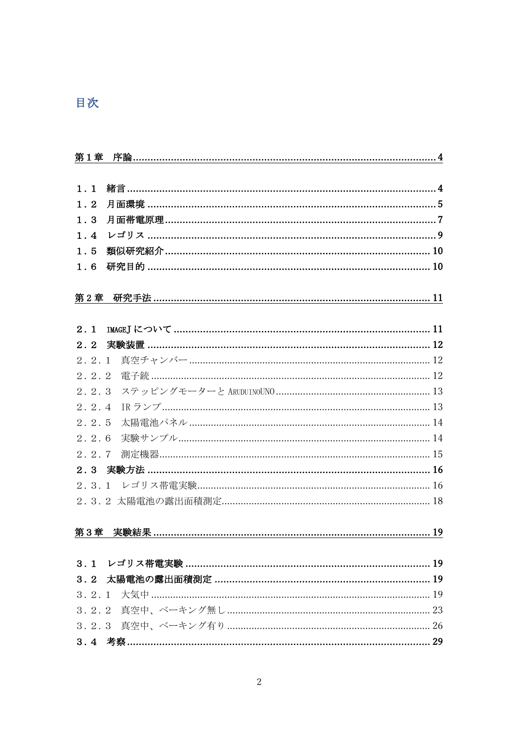# 目次

| 第1章   |                                                      |
|-------|------------------------------------------------------|
|       |                                                      |
| 1.1   |                                                      |
| 1.2   | 月面環境 …………………………………………………………………………………………5             |
| 1.3   |                                                      |
| 1.4   |                                                      |
| 1.5   |                                                      |
| 1.6   | 研究目的 ……………………………………………………………………………………… 10            |
|       |                                                      |
|       | <u>第2章 研究手法 …………………………………………………………………………………………11</u> |
|       |                                                      |
| 2.1   |                                                      |
| 2.2   | 実験装置 ……………………………………………………………………………………… 12            |
| 2.2.1 |                                                      |
| 2.2.2 | 雷子銃 ………………………………………………………………………………………… 12            |
| 2.2.3 |                                                      |
| 2.2.4 |                                                      |
| 2.2.5 |                                                      |
| 2.2.6 |                                                      |
| 2.2.7 |                                                      |
|       | 2.3 実験方法 ……………………………………………………………………………………… 16        |
|       |                                                      |
|       |                                                      |
|       |                                                      |
|       | 第3章 実験結果 ……………………………………………………………………………………… 19        |
|       |                                                      |
|       |                                                      |
|       |                                                      |
|       | 3.2.1 大気中 …………………………………………………………………………………………19       |
|       |                                                      |
|       |                                                      |
|       |                                                      |